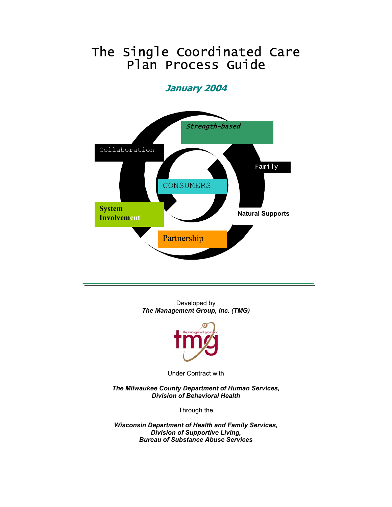## The Single Coordinated Care Plan Process Guide

### **January 2004**



Developed by *The Management Group, Inc. (TMG)* 



Under Contract with

*The Milwaukee County Department of Human Services, Division of Behavioral Health* 

Through the

*Wisconsin Department of Health and Family Services, Division of Supportive Living, Bureau of Substance Abuse Services*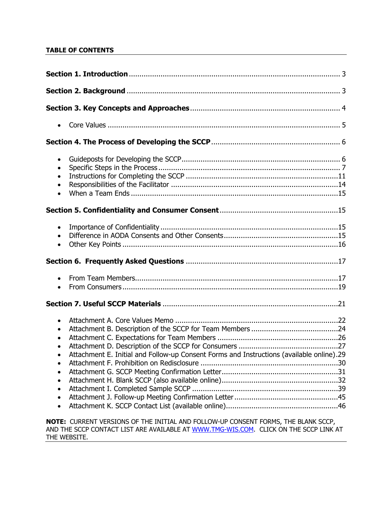#### **TABLE OF CONTENTS**

| $\bullet$<br>$\bullet$<br>$\bullet$<br>$\bullet$<br>$\bullet$                                                     |                                                                                          |
|-------------------------------------------------------------------------------------------------------------------|------------------------------------------------------------------------------------------|
|                                                                                                                   |                                                                                          |
| $\bullet$<br>$\bullet$<br>$\bullet$                                                                               |                                                                                          |
|                                                                                                                   |                                                                                          |
| $\bullet$<br>$\bullet$                                                                                            |                                                                                          |
|                                                                                                                   |                                                                                          |
| $\bullet$<br>$\bullet$<br>$\bullet$<br>$\bullet$<br>$\bullet$<br>$\bullet$<br>$\bullet$<br>$\bullet$<br>$\bullet$ | Attachment E. Initial and Follow-up Consent Forms and Instructions (available online).29 |
| NOTE: CURRENT VERSIONS OF THE INITIAL AND FOLLOW-UP CONSENT FORMS, THE BLANK SCCP,                                |                                                                                          |

AND THE SCCP CONTACT LIST ARE AVAILABLE AT [WWW.TMG-WIS.COM](http://www.tmg-wis.com/). CLICK ON THE SCCP LINK AT THE WEBSITE.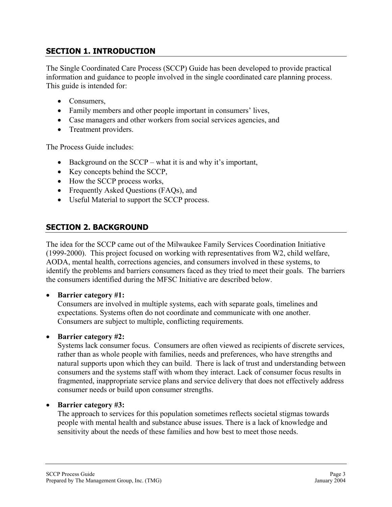#### **SECTION 1. INTRODUCTION**

The Single Coordinated Care Process (SCCP) Guide has been developed to provide practical information and guidance to people involved in the single coordinated care planning process. This guide is intended for:

- Consumers.
- Family members and other people important in consumers' lives,
- Case managers and other workers from social services agencies, and
- Treatment providers.

The Process Guide includes:

- Background on the SCCP what it is and why it's important,
- Key concepts behind the SCCP,
- How the SCCP process works,
- Frequently Asked Questions (FAQs), and
- Useful Material to support the SCCP process.

#### **SECTION 2. BACKGROUND**

The idea for the SCCP came out of the Milwaukee Family Services Coordination Initiative (1999-2000). This project focused on working with representatives from W2, child welfare, AODA, mental health, corrections agencies, and consumers involved in these systems, to identify the problems and barriers consumers faced as they tried to meet their goals. The barriers the consumers identified during the MFSC Initiative are described below.

#### • **Barrier category #1:**

Consumers are involved in multiple systems, each with separate goals, timelines and expectations. Systems often do not coordinate and communicate with one another. Consumers are subject to multiple, conflicting requirements.

#### • **Barrier category #2:**

Systems lack consumer focus. Consumers are often viewed as recipients of discrete services, rather than as whole people with families, needs and preferences, who have strengths and natural supports upon which they can build. There is lack of trust and understanding between consumers and the systems staff with whom they interact. Lack of consumer focus results in fragmented, inappropriate service plans and service delivery that does not effectively address consumer needs or build upon consumer strengths.

#### • **Barrier category #3:**

The approach to services for this population sometimes reflects societal stigmas towards people with mental health and substance abuse issues. There is a lack of knowledge and sensitivity about the needs of these families and how best to meet those needs.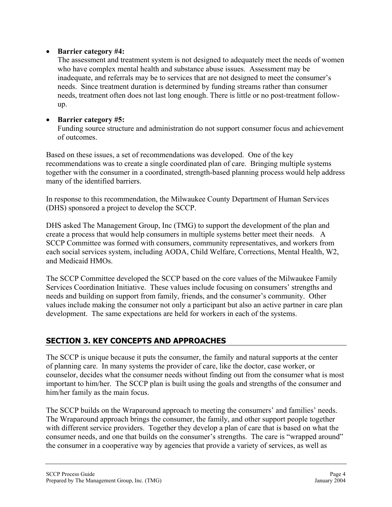#### • **Barrier category #4:**

The assessment and treatment system is not designed to adequately meet the needs of women who have complex mental health and substance abuse issues. Assessment may be inadequate, and referrals may be to services that are not designed to meet the consumer's needs. Since treatment duration is determined by funding streams rather than consumer needs, treatment often does not last long enough. There is little or no post-treatment followup.

#### • **Barrier category #5:**

Funding source structure and administration do not support consumer focus and achievement of outcomes.

Based on these issues, a set of recommendations was developed. One of the key recommendations was to create a single coordinated plan of care. Bringing multiple systems together with the consumer in a coordinated, strength-based planning process would help address many of the identified barriers.

In response to this recommendation, the Milwaukee County Department of Human Services (DHS) sponsored a project to develop the SCCP.

DHS asked The Management Group, Inc (TMG) to support the development of the plan and create a process that would help consumers in multiple systems better meet their needs. A SCCP Committee was formed with consumers, community representatives, and workers from each social services system, including AODA, Child Welfare, Corrections, Mental Health, W2, and Medicaid HMOs.

The SCCP Committee developed the SCCP based on the core values of the Milwaukee Family Services Coordination Initiative. These values include focusing on consumers' strengths and needs and building on support from family, friends, and the consumer's community. Other values include making the consumer not only a participant but also an active partner in care plan development. The same expectations are held for workers in each of the systems.

#### **SECTION 3. KEY CONCEPTS AND APPROACHES**

The SCCP is unique because it puts the consumer, the family and natural supports at the center of planning care. In many systems the provider of care, like the doctor, case worker, or counselor, decides what the consumer needs without finding out from the consumer what is most important to him/her. The SCCP plan is built using the goals and strengths of the consumer and him/her family as the main focus.

The SCCP builds on the Wraparound approach to meeting the consumers' and families' needs. The Wraparound approach brings the consumer, the family, and other support people together with different service providers. Together they develop a plan of care that is based on what the consumer needs, and one that builds on the consumer's strengths. The care is "wrapped around" the consumer in a cooperative way by agencies that provide a variety of services, as well as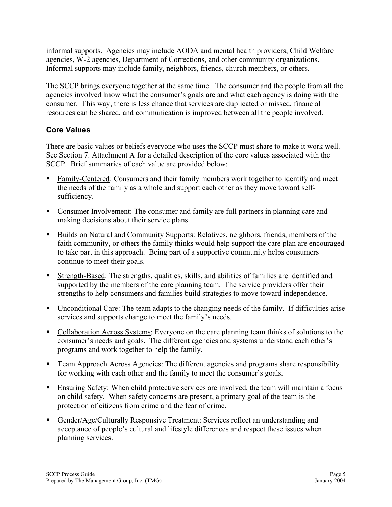informal supports. Agencies may include AODA and mental health providers, Child Welfare agencies, W-2 agencies, Department of Corrections, and other community organizations. Informal supports may include family, neighbors, friends, church members, or others.

The SCCP brings everyone together at the same time. The consumer and the people from all the agencies involved know what the consumer's goals are and what each agency is doing with the consumer. This way, there is less chance that services are duplicated or missed, financial resources can be shared, and communication is improved between all the people involved.

#### **Core Values**

There are basic values or beliefs everyone who uses the SCCP must share to make it work well. See Section 7. Attachment A for a detailed description of the core values associated with the SCCP. Brief summaries of each value are provided below:

- **Family-Centered: Consumers and their family members work together to identify and meet** the needs of the family as a whole and support each other as they move toward selfsufficiency.
- Consumer Involvement: The consumer and family are full partners in planning care and making decisions about their service plans.
- Builds on Natural and Community Supports: Relatives, neighbors, friends, members of the faith community, or others the family thinks would help support the care plan are encouraged to take part in this approach. Being part of a supportive community helps consumers continue to meet their goals.
- Strength-Based: The strengths, qualities, skills, and abilities of families are identified and supported by the members of the care planning team. The service providers offer their strengths to help consumers and families build strategies to move toward independence.
- Unconditional Care: The team adapts to the changing needs of the family. If difficulties arise services and supports change to meet the family's needs.
- Collaboration Across Systems: Everyone on the care planning team thinks of solutions to the consumer's needs and goals. The different agencies and systems understand each other's programs and work together to help the family.
- Team Approach Across Agencies: The different agencies and programs share responsibility for working with each other and the family to meet the consumer's goals.
- Ensuring Safety: When child protective services are involved, the team will maintain a focus on child safety. When safety concerns are present, a primary goal of the team is the protection of citizens from crime and the fear of crime.
- Gender/Age/Culturally Responsive Treatment: Services reflect an understanding and acceptance of people's cultural and lifestyle differences and respect these issues when planning services.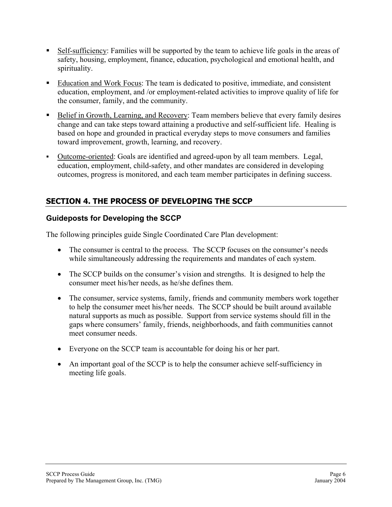- Self-sufficiency: Families will be supported by the team to achieve life goals in the areas of safety, housing, employment, finance, education, psychological and emotional health, and spirituality.
- Education and Work Focus: The team is dedicated to positive, immediate, and consistent education, employment, and /or employment-related activities to improve quality of life for the consumer, family, and the community.
- Belief in Growth, Learning, and Recovery: Team members believe that every family desires change and can take steps toward attaining a productive and self-sufficient life. Healing is based on hope and grounded in practical everyday steps to move consumers and families toward improvement, growth, learning, and recovery.
- Outcome-oriented: Goals are identified and agreed-upon by all team members. Legal, education, employment, child-safety, and other mandates are considered in developing outcomes, progress is monitored, and each team member participates in defining success.

### **SECTION 4. THE PROCESS OF DEVELOPING THE SCCP**

#### **Guideposts for Developing the SCCP**

The following principles guide Single Coordinated Care Plan development:

- The consumer is central to the process. The SCCP focuses on the consumer's needs while simultaneously addressing the requirements and mandates of each system.
- The SCCP builds on the consumer's vision and strengths. It is designed to help the consumer meet his/her needs, as he/she defines them.
- The consumer, service systems, family, friends and community members work together to help the consumer meet his/her needs. The SCCP should be built around available natural supports as much as possible. Support from service systems should fill in the gaps where consumers' family, friends, neighborhoods, and faith communities cannot meet consumer needs.
- Everyone on the SCCP team is accountable for doing his or her part.
- An important goal of the SCCP is to help the consumer achieve self-sufficiency in meeting life goals.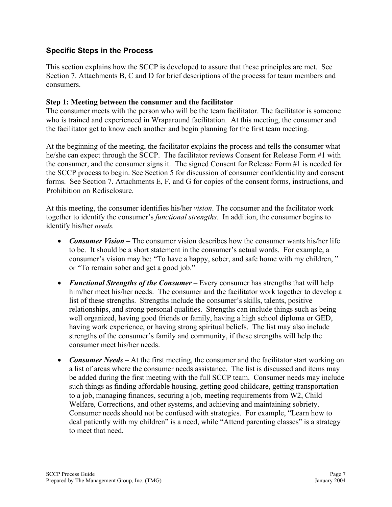#### **Specific Steps in the Process**

This section explains how the SCCP is developed to assure that these principles are met. See Section 7. Attachments B, C and D for brief descriptions of the process for team members and consumers.

#### **Step 1: Meeting between the consumer and the facilitator**

The consumer meets with the person who will be the team facilitator. The facilitator is someone who is trained and experienced in Wraparound facilitation. At this meeting, the consumer and the facilitator get to know each another and begin planning for the first team meeting.

At the beginning of the meeting, the facilitator explains the process and tells the consumer what he/she can expect through the SCCP. The facilitator reviews Consent for Release Form #1 with the consumer, and the consumer signs it. The signed Consent for Release Form #1 is needed for the SCCP process to begin. See Section 5 for discussion of consumer confidentiality and consent forms. See Section 7. Attachments E, F, and G for copies of the consent forms, instructions, and Prohibition on Redisclosure.

At this meeting, the consumer identifies his/her *vision*. The consumer and the facilitator work together to identify the consumer's *functional strengths*. In addition, the consumer begins to identify his/her *needs.* 

- *Consumer Vision* The consumer vision describes how the consumer wants his/her life to be. It should be a short statement in the consumer's actual words. For example, a consumer's vision may be: "To have a happy, sober, and safe home with my children, " or "To remain sober and get a good job."
- *Functional Strengths of the Consumer* Every consumer has strengths that will help him/her meet his/her needs. The consumer and the facilitator work together to develop a list of these strengths. Strengths include the consumer's skills, talents, positive relationships, and strong personal qualities. Strengths can include things such as being well organized, having good friends or family, having a high school diploma or GED, having work experience, or having strong spiritual beliefs. The list may also include strengths of the consumer's family and community, if these strengths will help the consumer meet his/her needs.
- *Consumer Needs* At the first meeting, the consumer and the facilitator start working on a list of areas where the consumer needs assistance. The list is discussed and items may be added during the first meeting with the full SCCP team. Consumer needs may include such things as finding affordable housing, getting good childcare, getting transportation to a job, managing finances, securing a job, meeting requirements from W2, Child Welfare, Corrections, and other systems, and achieving and maintaining sobriety. Consumer needs should not be confused with strategies. For example, "Learn how to deal patiently with my children" is a need, while "Attend parenting classes" is a strategy to meet that need.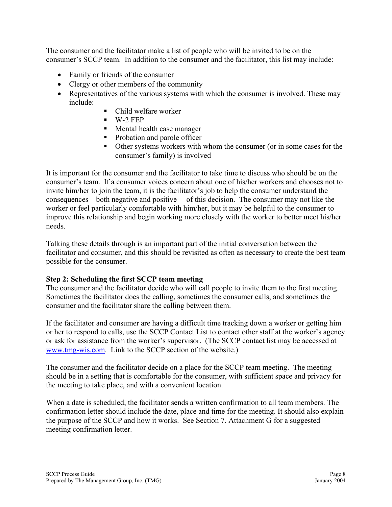The consumer and the facilitator make a list of people who will be invited to be on the consumer's SCCP team. In addition to the consumer and the facilitator, this list may include:

- Family or friends of the consumer
- Clergy or other members of the community
- Representatives of the various systems with which the consumer is involved. These may include:
	- Child welfare worker
	- $W-2$  FEP
	- **Mental health case manager**
	- Probation and parole officer
	- Other systems workers with whom the consumer (or in some cases for the consumer's family) is involved

It is important for the consumer and the facilitator to take time to discuss who should be on the consumer's team. If a consumer voices concern about one of his/her workers and chooses not to invite him/her to join the team, it is the facilitator's job to help the consumer understand the consequences—both negative and positive— of this decision. The consumer may not like the worker or feel particularly comfortable with him/her, but it may be helpful to the consumer to improve this relationship and begin working more closely with the worker to better meet his/her needs.

Talking these details through is an important part of the initial conversation between the facilitator and consumer, and this should be revisited as often as necessary to create the best team possible for the consumer.

#### **Step 2: Scheduling the first SCCP team meeting**

The consumer and the facilitator decide who will call people to invite them to the first meeting. Sometimes the facilitator does the calling, sometimes the consumer calls, and sometimes the consumer and the facilitator share the calling between them.

If the facilitator and consumer are having a difficult time tracking down a worker or getting him or her to respond to calls, use the SCCP Contact List to contact other staff at the worker's agency or ask for assistance from the worker's supervisor. (The SCCP contact list may be accessed at [www.tmg-wis.com.](http://www.tmg-wis.com/) Link to the SCCP section of the website.)

The consumer and the facilitator decide on a place for the SCCP team meeting. The meeting should be in a setting that is comfortable for the consumer, with sufficient space and privacy for the meeting to take place, and with a convenient location.

When a date is scheduled, the facilitator sends a written confirmation to all team members. The confirmation letter should include the date, place and time for the meeting. It should also explain the purpose of the SCCP and how it works. See Section 7. Attachment G for a suggested meeting confirmation letter.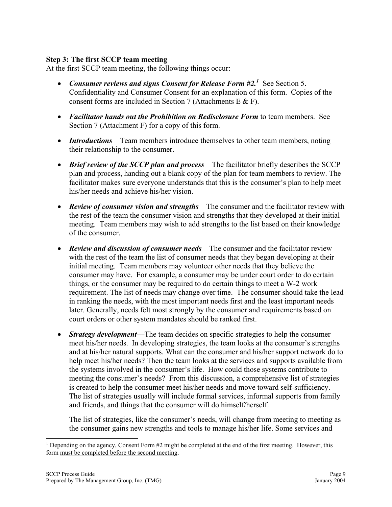#### **Step 3: The first SCCP team meeting**

At the first SCCP team meeting, the following things occur:

- *Consumer reviews and signs Consent for Release Form*  $\#2$ *<sup>1</sup>. See Section 5.* Confidentiality and Consumer Consent for an explanation of this form. Copies of the consent forms are included in Section 7 (Attachments E & F).
- *Facilitator hands out the Prohibition on Redisclosure Form* to team members. See Section 7 (Attachment F) for a copy of this form.
- *Introductions*—Team members introduce themselves to other team members, noting their relationship to the consumer.
- *Brief review of the SCCP plan and process*—The facilitator briefly describes the SCCP plan and process, handing out a blank copy of the plan for team members to review. The facilitator makes sure everyone understands that this is the consumer's plan to help meet his/her needs and achieve his/her vision.
- *Review of consumer vision and strengths*—The consumer and the facilitator review with the rest of the team the consumer vision and strengths that they developed at their initial meeting. Team members may wish to add strengths to the list based on their knowledge of the consumer.
- *Review and discussion of consumer needs*—The consumer and the facilitator review with the rest of the team the list of consumer needs that they began developing at their initial meeting. Team members may volunteer other needs that they believe the consumer may have. For example, a consumer may be under court order to do certain things, or the consumer may be required to do certain things to meet a W-2 work requirement. The list of needs may change over time. The consumer should take the lead in ranking the needs, with the most important needs first and the least important needs later. Generally, needs felt most strongly by the consumer and requirements based on court orders or other system mandates should be ranked first.
- *Strategy development*—The team decides on specific strategies to help the consumer meet his/her needs. In developing strategies, the team looks at the consumer's strengths and at his/her natural supports. What can the consumer and his/her support network do to help meet his/her needs? Then the team looks at the services and supports available from the systems involved in the consumer's life. How could those systems contribute to meeting the consumer's needs? From this discussion, a comprehensive list of strategies is created to help the consumer meet his/her needs and move toward self-sufficiency. The list of strategies usually will include formal services, informal supports from family and friends, and things that the consumer will do himself/herself.

The list of strategies, like the consumer's needs, will change from meeting to meeting as the consumer gains new strengths and tools to manage his/her life. Some services and

 $\overline{a}$ 

<span id="page-8-0"></span><sup>&</sup>lt;sup>1</sup> Depending on the agency, Consent Form  $#2$  might be completed at the end of the first meeting. However, this form must be completed before the second meeting.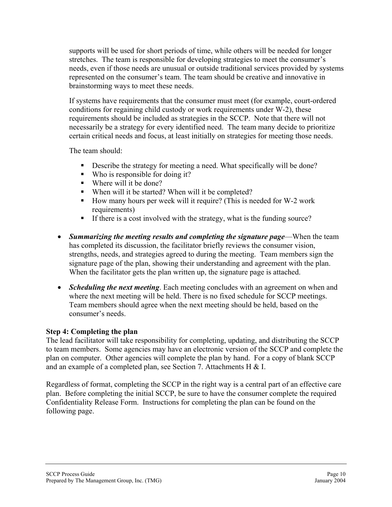supports will be used for short periods of time, while others will be needed for longer stretches. The team is responsible for developing strategies to meet the consumer's needs, even if those needs are unusual or outside traditional services provided by systems represented on the consumer's team. The team should be creative and innovative in brainstorming ways to meet these needs.

If systems have requirements that the consumer must meet (for example, court-ordered conditions for regaining child custody or work requirements under W-2), these requirements should be included as strategies in the SCCP. Note that there will not necessarily be a strategy for every identified need. The team many decide to prioritize certain critical needs and focus, at least initially on strategies for meeting those needs.

The team should:

- Describe the strategy for meeting a need. What specifically will be done?
- Who is responsible for doing it?
- Where will it be done?
- When will it be started? When will it be completed?
- How many hours per week will it require? (This is needed for W-2 work requirements)
- If there is a cost involved with the strategy, what is the funding source?
- *Summarizing the meeting results and completing the signature page*—When the team has completed its discussion, the facilitator briefly reviews the consumer vision, strengths, needs, and strategies agreed to during the meeting. Team members sign the signature page of the plan, showing their understanding and agreement with the plan. When the facilitator gets the plan written up, the signature page is attached.
- *Scheduling the next meeting*. Each meeting concludes with an agreement on when and where the next meeting will be held. There is no fixed schedule for SCCP meetings. Team members should agree when the next meeting should be held, based on the consumer's needs.

#### **Step 4: Completing the plan**

The lead facilitator will take responsibility for completing, updating, and distributing the SCCP to team members. Some agencies may have an electronic version of the SCCP and complete the plan on computer. Other agencies will complete the plan by hand. For a copy of blank SCCP and an example of a completed plan, see Section 7. Attachments H & I.

Regardless of format, completing the SCCP in the right way is a central part of an effective care plan. Before completing the initial SCCP, be sure to have the consumer complete the required Confidentiality Release Form. Instructions for completing the plan can be found on the following page.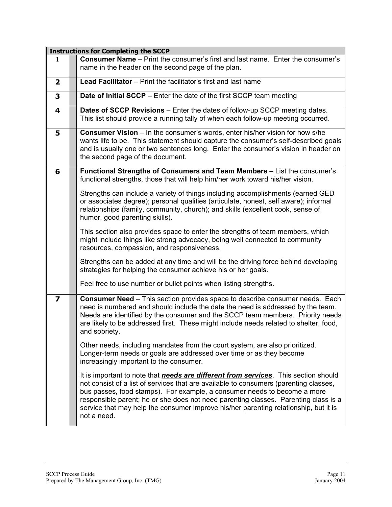|                         | <b>Instructions for Completing the SCCP</b>                                                                                                                                                                                                                                                                                                                                                                                                                    |  |  |
|-------------------------|----------------------------------------------------------------------------------------------------------------------------------------------------------------------------------------------------------------------------------------------------------------------------------------------------------------------------------------------------------------------------------------------------------------------------------------------------------------|--|--|
| 1                       | <b>Consumer Name</b> – Print the consumer's first and last name. Enter the consumer's<br>name in the header on the second page of the plan.                                                                                                                                                                                                                                                                                                                    |  |  |
| $\overline{\mathbf{2}}$ | Lead Facilitator - Print the facilitator's first and last name                                                                                                                                                                                                                                                                                                                                                                                                 |  |  |
| 3                       | Date of Initial SCCP - Enter the date of the first SCCP team meeting                                                                                                                                                                                                                                                                                                                                                                                           |  |  |
| 4                       | Dates of SCCP Revisions - Enter the dates of follow-up SCCP meeting dates.<br>This list should provide a running tally of when each follow-up meeting occurred.                                                                                                                                                                                                                                                                                                |  |  |
| 5                       | <b>Consumer Vision</b> – In the consumer's words, enter his/her vision for how s/he<br>wants life to be. This statement should capture the consumer's self-described goals<br>and is usually one or two sentences long. Enter the consumer's vision in header on<br>the second page of the document.                                                                                                                                                           |  |  |
| 6                       | Functional Strengths of Consumers and Team Members - List the consumer's<br>functional strengths, those that will help him/her work toward his/her vision.                                                                                                                                                                                                                                                                                                     |  |  |
|                         | Strengths can include a variety of things including accomplishments (earned GED<br>or associates degree); personal qualities (articulate, honest, self aware); informal<br>relationships (family, community, church); and skills (excellent cook, sense of<br>humor, good parenting skills).                                                                                                                                                                   |  |  |
|                         | This section also provides space to enter the strengths of team members, which<br>might include things like strong advocacy, being well connected to community<br>resources, compassion, and responsiveness.                                                                                                                                                                                                                                                   |  |  |
|                         | Strengths can be added at any time and will be the driving force behind developing<br>strategies for helping the consumer achieve his or her goals.                                                                                                                                                                                                                                                                                                            |  |  |
|                         | Feel free to use number or bullet points when listing strengths.                                                                                                                                                                                                                                                                                                                                                                                               |  |  |
| $\overline{\mathbf{z}}$ | <b>Consumer Need</b> – This section provides space to describe consumer needs. Each<br>need is numbered and should include the date the need is addressed by the team.<br>Needs are identified by the consumer and the SCCP team members. Priority needs<br>are likely to be addressed first. These might include needs related to shelter, food,<br>and sobriety.                                                                                             |  |  |
|                         | Other needs, including mandates from the court system, are also prioritized.<br>Longer-term needs or goals are addressed over time or as they become<br>increasingly important to the consumer.                                                                                                                                                                                                                                                                |  |  |
|                         | It is important to note that <i>needs are different from services</i> . This section should<br>not consist of a list of services that are available to consumers (parenting classes,<br>bus passes, food stamps). For example, a consumer needs to become a more<br>responsible parent; he or she does not need parenting classes. Parenting class is a<br>service that may help the consumer improve his/her parenting relationship, but it is<br>not a need. |  |  |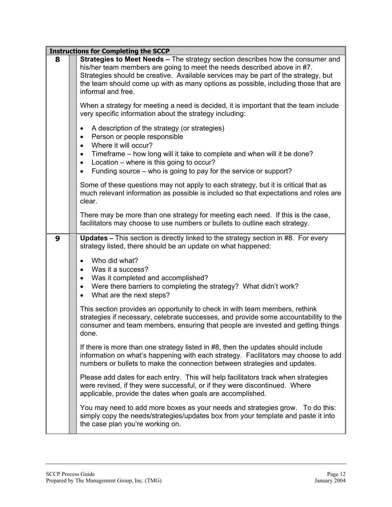|   | <b>Instructions for Completing the SCCP</b>                                                                                                                                                                                                                                                                                                                            |  |  |
|---|------------------------------------------------------------------------------------------------------------------------------------------------------------------------------------------------------------------------------------------------------------------------------------------------------------------------------------------------------------------------|--|--|
| 8 | Strategies to Meet Needs - The strategy section describes how the consumer and<br>his/her team members are going to meet the needs described above in #7.<br>Strategies should be creative. Available services may be part of the strategy, but<br>the team should come up with as many options as possible, including those that are<br>informal and free.            |  |  |
|   | When a strategy for meeting a need is decided, it is important that the team include<br>very specific information about the strategy including:                                                                                                                                                                                                                        |  |  |
|   | A description of the strategy (or strategies)<br>$\bullet$<br>Person or people responsible<br>$\bullet$<br>Where it will occur?<br>$\bullet$<br>Timeframe – how long will it take to complete and when will it be done?<br>٠<br>Location – where is this going to occur?<br>$\bullet$<br>Funding source – who is going to pay for the service or support?<br>$\bullet$ |  |  |
|   | Some of these questions may not apply to each strategy, but it is critical that as<br>much relevant information as possible is included so that expectations and roles are<br>clear.                                                                                                                                                                                   |  |  |
|   | There may be more than one strategy for meeting each need. If this is the case,<br>facilitators may choose to use numbers or bullets to outline each strategy.                                                                                                                                                                                                         |  |  |
| 9 | <b>Updates - This section is directly linked to the strategy section in #8. For every</b><br>strategy listed, there should be an update on what happened:                                                                                                                                                                                                              |  |  |
|   | Who did what?<br>Was it a success?<br>$\bullet$<br>Was it completed and accomplished?<br>٠<br>Were there barriers to completing the strategy? What didn't work?<br>$\bullet$<br>What are the next steps?<br>$\bullet$                                                                                                                                                  |  |  |
|   | This section provides an opportunity to check in with team members, rethink<br>strategies if necessary, celebrate successes, and provide some accountability to the<br>consumer and team members, ensuring that people are invested and getting things<br>done.                                                                                                        |  |  |
|   | If there is more than one strategy listed in #8, then the updates should include<br>information on what's happening with each strategy. Facilitators may choose to add<br>numbers or bullets to make the connection between strategies and updates.                                                                                                                    |  |  |
|   | Please add dates for each entry. This will help facilitators track when strategies<br>were revised, if they were successful, or if they were discontinued. Where<br>applicable, provide the dates when goals are accomplished.                                                                                                                                         |  |  |
|   | You may need to add more boxes as your needs and strategies grow. To do this:<br>simply copy the needs/strategies/updates box from your template and paste it into<br>the case plan you're working on.                                                                                                                                                                 |  |  |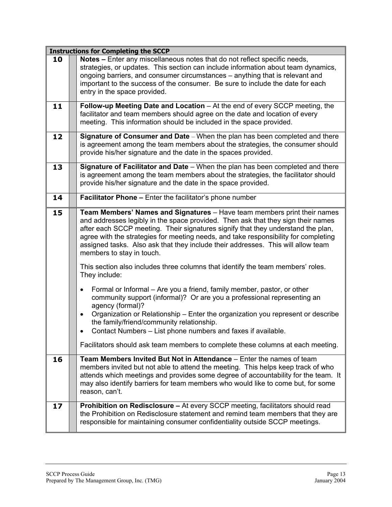|    | <b>Instructions for Completing the SCCP</b>                                                                                                                                                                                                                                                                                                                                                                                                                                                                                                                                                                                                                                                                                                                                                                                                                                                                                                                                                                                                        |
|----|----------------------------------------------------------------------------------------------------------------------------------------------------------------------------------------------------------------------------------------------------------------------------------------------------------------------------------------------------------------------------------------------------------------------------------------------------------------------------------------------------------------------------------------------------------------------------------------------------------------------------------------------------------------------------------------------------------------------------------------------------------------------------------------------------------------------------------------------------------------------------------------------------------------------------------------------------------------------------------------------------------------------------------------------------|
| 10 | Notes - Enter any miscellaneous notes that do not reflect specific needs,<br>strategies, or updates. This section can include information about team dynamics,<br>ongoing barriers, and consumer circumstances - anything that is relevant and<br>important to the success of the consumer. Be sure to include the date for each<br>entry in the space provided.                                                                                                                                                                                                                                                                                                                                                                                                                                                                                                                                                                                                                                                                                   |
| 11 | Follow-up Meeting Date and Location - At the end of every SCCP meeting, the<br>facilitator and team members should agree on the date and location of every<br>meeting. This information should be included in the space provided.                                                                                                                                                                                                                                                                                                                                                                                                                                                                                                                                                                                                                                                                                                                                                                                                                  |
| 12 | Signature of Consumer and Date - When the plan has been completed and there<br>is agreement among the team members about the strategies, the consumer should<br>provide his/her signature and the date in the spaces provided.                                                                                                                                                                                                                                                                                                                                                                                                                                                                                                                                                                                                                                                                                                                                                                                                                     |
| 13 | Signature of Facilitator and Date - When the plan has been completed and there<br>is agreement among the team members about the strategies, the facilitator should<br>provide his/her signature and the date in the space provided.                                                                                                                                                                                                                                                                                                                                                                                                                                                                                                                                                                                                                                                                                                                                                                                                                |
| 14 | Facilitator Phone - Enter the facilitator's phone number                                                                                                                                                                                                                                                                                                                                                                                                                                                                                                                                                                                                                                                                                                                                                                                                                                                                                                                                                                                           |
| 15 | Team Members' Names and Signatures - Have team members print their names<br>and addresses legibly in the space provided. Then ask that they sign their names<br>after each SCCP meeting. Their signatures signify that they understand the plan,<br>agree with the strategies for meeting needs, and take responsibility for completing<br>assigned tasks. Also ask that they include their addresses. This will allow team<br>members to stay in touch.<br>This section also includes three columns that identify the team members' roles.<br>They include:<br>Formal or Informal – Are you a friend, family member, pastor, or other<br>$\bullet$<br>community support (informal)? Or are you a professional representing an<br>agency (formal)?<br>Organization or Relationship - Enter the organization you represent or describe<br>$\bullet$<br>the family/friend/community relationship.<br>Contact Numbers - List phone numbers and faxes if available.<br>Facilitators should ask team members to complete these columns at each meeting. |
| 16 | Team Members Invited But Not in Attendance – Enter the names of team<br>members invited but not able to attend the meeting. This helps keep track of who<br>attends which meetings and provides some degree of accountability for the team. It<br>may also identify barriers for team members who would like to come but, for some<br>reason, can't.                                                                                                                                                                                                                                                                                                                                                                                                                                                                                                                                                                                                                                                                                               |
| 17 | Prohibition on Redisclosure - At every SCCP meeting, facilitators should read<br>the Prohibition on Redisclosure statement and remind team members that they are<br>responsible for maintaining consumer confidentiality outside SCCP meetings.                                                                                                                                                                                                                                                                                                                                                                                                                                                                                                                                                                                                                                                                                                                                                                                                    |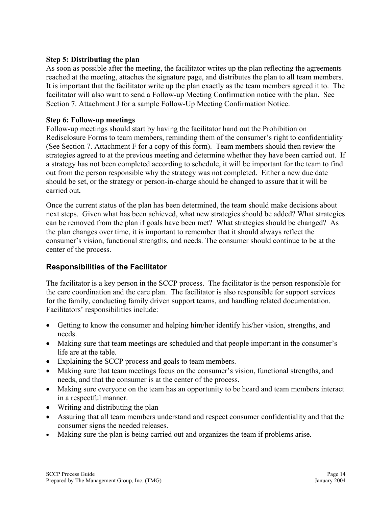#### **Step 5: Distributing the plan**

As soon as possible after the meeting, the facilitator writes up the plan reflecting the agreements reached at the meeting, attaches the signature page, and distributes the plan to all team members. It is important that the facilitator write up the plan exactly as the team members agreed it to. The facilitator will also want to send a Follow-up Meeting Confirmation notice with the plan. See Section 7. Attachment J for a sample Follow-Up Meeting Confirmation Notice.

#### **Step 6: Follow-up meetings**

Follow-up meetings should start by having the facilitator hand out the Prohibition on Redisclosure Forms to team members, reminding them of the consumer's right to confidentiality (See Section 7. Attachment F for a copy of this form). Team members should then review the strategies agreed to at the previous meeting and determine whether they have been carried out. If a strategy has not been completed according to schedule, it will be important for the team to find out from the person responsible why the strategy was not completed. Either a new due date should be set, or the strategy or person-in-charge should be changed to assure that it will be carried out*.* 

Once the current status of the plan has been determined, the team should make decisions about next steps. Given what has been achieved, what new strategies should be added? What strategies can be removed from the plan if goals have been met? What strategies should be changed? As the plan changes over time, it is important to remember that it should always reflect the consumer's vision, functional strengths, and needs. The consumer should continue to be at the center of the process.

#### **Responsibilities of the Facilitator**

The facilitator is a key person in the SCCP process. The facilitator is the person responsible for the care coordination and the care plan. The facilitator is also responsible for support services for the family, conducting family driven support teams, and handling related documentation. Facilitators' responsibilities include:

- Getting to know the consumer and helping him/her identify his/her vision, strengths, and needs.
- Making sure that team meetings are scheduled and that people important in the consumer's life are at the table.
- Explaining the SCCP process and goals to team members.
- Making sure that team meetings focus on the consumer's vision, functional strengths, and needs, and that the consumer is at the center of the process.
- Making sure everyone on the team has an opportunity to be heard and team members interact in a respectful manner.
- Writing and distributing the plan
- Assuring that all team members understand and respect consumer confidentiality and that the consumer signs the needed releases.
- Making sure the plan is being carried out and organizes the team if problems arise.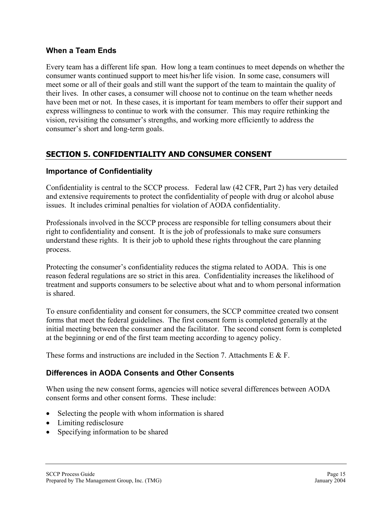#### **When a Team Ends**

Every team has a different life span. How long a team continues to meet depends on whether the consumer wants continued support to meet his/her life vision. In some case, consumers will meet some or all of their goals and still want the support of the team to maintain the quality of their lives. In other cases, a consumer will choose not to continue on the team whether needs have been met or not. In these cases, it is important for team members to offer their support and express willingness to continue to work with the consumer. This may require rethinking the vision, revisiting the consumer's strengths, and working more efficiently to address the consumer's short and long-term goals.

### **SECTION 5. CONFIDENTIALITY AND CONSUMER CONSENT**

#### **Importance of Confidentiality**

Confidentiality is central to the SCCP process. Federal law (42 CFR, Part 2) has very detailed and extensive requirements to protect the confidentiality of people with drug or alcohol abuse issues. It includes criminal penalties for violation of AODA confidentiality.

Professionals involved in the SCCP process are responsible for telling consumers about their right to confidentiality and consent. It is the job of professionals to make sure consumers understand these rights. It is their job to uphold these rights throughout the care planning process.

Protecting the consumer's confidentiality reduces the stigma related to AODA. This is one reason federal regulations are so strict in this area. Confidentiality increases the likelihood of treatment and supports consumers to be selective about what and to whom personal information is shared.

To ensure confidentiality and consent for consumers, the SCCP committee created two consent forms that meet the federal guidelines. The first consent form is completed generally at the initial meeting between the consumer and the facilitator. The second consent form is completed at the beginning or end of the first team meeting according to agency policy.

These forms and instructions are included in the Section 7. Attachments  $E \& E$ .

#### **Differences in AODA Consents and Other Consents**

When using the new consent forms, agencies will notice several differences between AODA consent forms and other consent forms. These include:

- Selecting the people with whom information is shared
- Limiting redisclosure
- Specifying information to be shared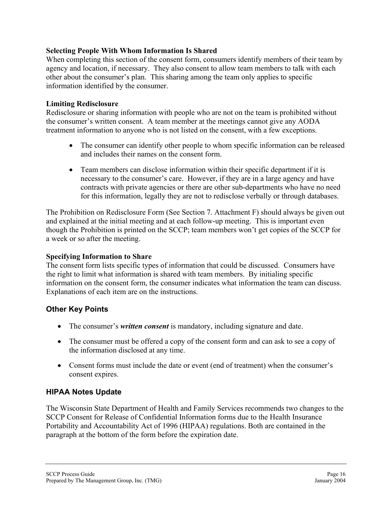#### **Selecting People With Whom Information Is Shared**

When completing this section of the consent form, consumers identify members of their team by agency and location, if necessary. They also consent to allow team members to talk with each other about the consumer's plan. This sharing among the team only applies to specific information identified by the consumer.

#### **Limiting Redisclosure**

Redisclosure or sharing information with people who are not on the team is prohibited without the consumer's written consent. A team member at the meetings cannot give any AODA treatment information to anyone who is not listed on the consent, with a few exceptions.

- The consumer can identify other people to whom specific information can be released and includes their names on the consent form.
- Team members can disclose information within their specific department if it is necessary to the consumer's care. However, if they are in a large agency and have contracts with private agencies or there are other sub-departments who have no need for this information, legally they are not to redisclose verbally or through databases.

The Prohibition on Redisclosure Form (See Section 7. Attachment F) should always be given out and explained at the initial meeting and at each follow-up meeting. This is important even though the Prohibition is printed on the SCCP; team members won't get copies of the SCCP for a week or so after the meeting.

#### **Specifying Information to Share**

The consent form lists specific types of information that could be discussed. Consumers have the right to limit what information is shared with team members. By initialing specific information on the consent form, the consumer indicates what information the team can discuss. Explanations of each item are on the instructions.

#### **Other Key Points**

- The consumer's *written consent* is mandatory, including signature and date.
- The consumer must be offered a copy of the consent form and can ask to see a copy of the information disclosed at any time.
- Consent forms must include the date or event (end of treatment) when the consumer's consent expires.

#### **HIPAA Notes Update**

The Wisconsin State Department of Health and Family Services recommends two changes to the SCCP Consent for Release of Confidential Information forms due to the Health Insurance Portability and Accountability Act of 1996 (HIPAA) regulations. Both are contained in the paragraph at the bottom of the form before the expiration date.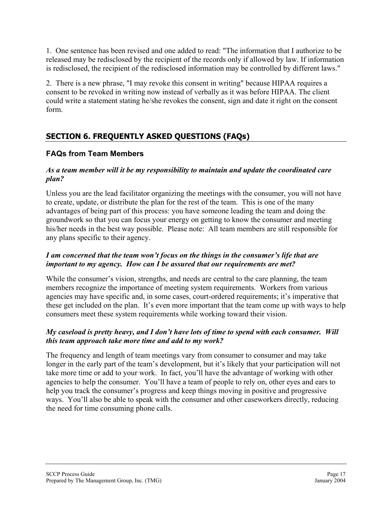1. One sentence has been revised and one added to read: "The information that I authorize to be released may be redisclosed by the recipient of the records only if allowed by law. If information is redisclosed, the recipient of the redisclosed information may be controlled by different laws."

2. There is a new phrase, "I may revoke this consent in writing" because HIPAA requires a consent to be revoked in writing now instead of verbally as it was before HIPAA. The client could write a statement stating he/she revokes the consent, sign and date it right on the consent form.

### **SECTION 6. FREQUENTLY ASKED QUESTIONS (FAQs)**

#### **FAQs from Team Members**

#### *As a team member will it be my responsibility to maintain and update the coordinated care plan?*

Unless you are the lead facilitator organizing the meetings with the consumer, you will not have to create, update, or distribute the plan for the rest of the team. This is one of the many advantages of being part of this process: you have someone leading the team and doing the groundwork so that you can focus your energy on getting to know the consumer and meeting his/her needs in the best way possible. Please note: All team members are still responsible for any plans specific to their agency.

#### *I am concerned that the team won't focus on the things in the consumer's life that are important to my agency. How can I be assured that our requirements are met?*

While the consumer's vision, strengths, and needs are central to the care planning, the team members recognize the importance of meeting system requirements. Workers from various agencies may have specific and, in some cases, court-ordered requirements; it's imperative that these get included on the plan. It's even more important that the team come up with ways to help consumers meet these system requirements while working toward their vision.

#### *My caseload is pretty heavy, and I don't have lots of time to spend with each consumer. Will this team approach take more time and add to my work?*

The frequency and length of team meetings vary from consumer to consumer and may take longer in the early part of the team's development, but it's likely that your participation will not take more time or add to your work. In fact, you'll have the advantage of working with other agencies to help the consumer. You'll have a team of people to rely on, other eyes and ears to help you track the consumer's progress and keep things moving in positive and progressive ways. You'll also be able to speak with the consumer and other caseworkers directly, reducing the need for time consuming phone calls.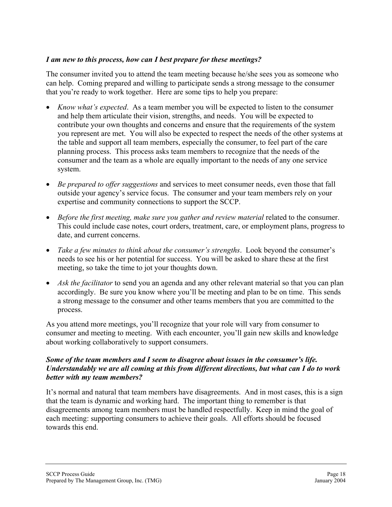#### *I am new to this process, how can I best prepare for these meetings?*

The consumer invited you to attend the team meeting because he/she sees you as someone who can help. Coming prepared and willing to participate sends a strong message to the consumer that you're ready to work together. Here are some tips to help you prepare:

- *Know what's expected*. As a team member you will be expected to listen to the consumer and help them articulate their vision, strengths, and needs. You will be expected to contribute your own thoughts and concerns and ensure that the requirements of the system you represent are met. You will also be expected to respect the needs of the other systems at the table and support all team members, especially the consumer, to feel part of the care planning process. This process asks team members to recognize that the needs of the consumer and the team as a whole are equally important to the needs of any one service system.
- *Be prepared to offer suggestions* and services to meet consumer needs, even those that fall outside your agency's service focus. The consumer and your team members rely on your expertise and community connections to support the SCCP.
- *Before the first meeting, make sure you gather and review material related to the consumer.* This could include case notes, court orders, treatment, care, or employment plans, progress to date, and current concerns.
- *Take a few minutes to think about the consumer's strengths*. Look beyond the consumer's needs to see his or her potential for success. You will be asked to share these at the first meeting, so take the time to jot your thoughts down.
- *Ask the facilitator* to send you an agenda and any other relevant material so that you can plan accordingly. Be sure you know where you'll be meeting and plan to be on time. This sends a strong message to the consumer and other teams members that you are committed to the process.

As you attend more meetings, you'll recognize that your role will vary from consumer to consumer and meeting to meeting. With each encounter, you'll gain new skills and knowledge about working collaboratively to support consumers.

#### *Some of the team members and I seem to disagree about issues in the consumer's life. Understandably we are all coming at this from different directions, but what can I do to work better with my team members?*

It's normal and natural that team members have disagreements. And in most cases, this is a sign that the team is dynamic and working hard. The important thing to remember is that disagreements among team members must be handled respectfully. Keep in mind the goal of each meeting: supporting consumers to achieve their goals. All efforts should be focused towards this end.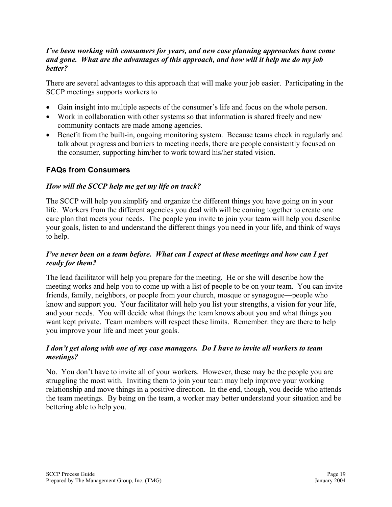#### *I've been working with consumers for years, and new case planning approaches have come and gone. What are the advantages of this approach, and how will it help me do my job better?*

There are several advantages to this approach that will make your job easier. Participating in the SCCP meetings supports workers to

- Gain insight into multiple aspects of the consumer's life and focus on the whole person.
- Work in collaboration with other systems so that information is shared freely and new community contacts are made among agencies.
- Benefit from the built-in, ongoing monitoring system. Because teams check in regularly and talk about progress and barriers to meeting needs, there are people consistently focused on the consumer, supporting him/her to work toward his/her stated vision.

#### **FAQs from Consumers**

#### *How will the SCCP help me get my life on track?*

The SCCP will help you simplify and organize the different things you have going on in your life. Workers from the different agencies you deal with will be coming together to create one care plan that meets your needs. The people you invite to join your team will help you describe your goals, listen to and understand the different things you need in your life, and think of ways to help.

#### *I've never been on a team before. What can I expect at these meetings and how can I get ready for them?*

The lead facilitator will help you prepare for the meeting. He or she will describe how the meeting works and help you to come up with a list of people to be on your team. You can invite friends, family, neighbors, or people from your church, mosque or synagogue—people who know and support you. Your facilitator will help you list your strengths, a vision for your life, and your needs. You will decide what things the team knows about you and what things you want kept private. Team members will respect these limits. Remember: they are there to help you improve your life and meet your goals.

#### *I don't get along with one of my case managers. Do I have to invite all workers to team meetings?*

No. You don't have to invite all of your workers. However, these may be the people you are struggling the most with. Inviting them to join your team may help improve your working relationship and move things in a positive direction. In the end, though, you decide who attends the team meetings. By being on the team, a worker may better understand your situation and be bettering able to help you.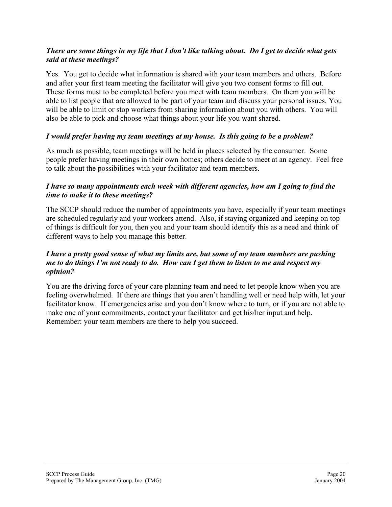#### *There are some things in my life that I don't like talking about. Do I get to decide what gets said at these meetings?*

Yes. You get to decide what information is shared with your team members and others. Before and after your first team meeting the facilitator will give you two consent forms to fill out. These forms must to be completed before you meet with team members. On them you will be able to list people that are allowed to be part of your team and discuss your personal issues. You will be able to limit or stop workers from sharing information about you with others. You will also be able to pick and choose what things about your life you want shared.

#### *I would prefer having my team meetings at my house. Is this going to be a problem?*

As much as possible, team meetings will be held in places selected by the consumer. Some people prefer having meetings in their own homes; others decide to meet at an agency. Feel free to talk about the possibilities with your facilitator and team members.

#### *I have so many appointments each week with different agencies, how am I going to find the time to make it to these meetings?*

The SCCP should reduce the number of appointments you have, especially if your team meetings are scheduled regularly and your workers attend. Also, if staying organized and keeping on top of things is difficult for you, then you and your team should identify this as a need and think of different ways to help you manage this better.

#### *I have a pretty good sense of what my limits are, but some of my team members are pushing me to do things I'm not ready to do. How can I get them to listen to me and respect my opinion?*

You are the driving force of your care planning team and need to let people know when you are feeling overwhelmed. If there are things that you aren't handling well or need help with, let your facilitator know. If emergencies arise and you don't know where to turn, or if you are not able to make one of your commitments, contact your facilitator and get his/her input and help. Remember: your team members are there to help you succeed.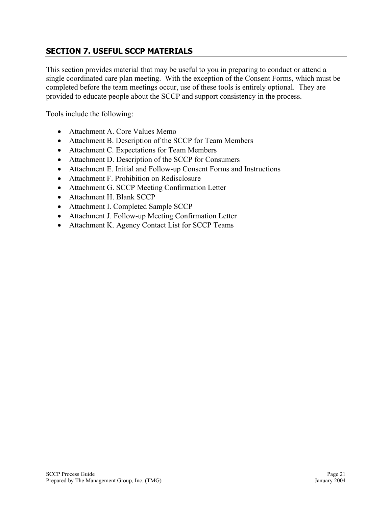### **SECTION 7. USEFUL SCCP MATERIALS**

This section provides material that may be useful to you in preparing to conduct or attend a single coordinated care plan meeting. With the exception of the Consent Forms, which must be completed before the team meetings occur, use of these tools is entirely optional. They are provided to educate people about the SCCP and support consistency in the process.

Tools include the following:

- Attachment A. Core Values Memo
- Attachment B. Description of the SCCP for Team Members
- Attachment C. Expectations for Team Members
- Attachment D. Description of the SCCP for Consumers
- Attachment E. Initial and Follow-up Consent Forms and Instructions
- Attachment F. Prohibition on Redisclosure
- Attachment G. SCCP Meeting Confirmation Letter
- Attachment H. Blank SCCP
- Attachment I. Completed Sample SCCP
- Attachment J. Follow-up Meeting Confirmation Letter
- Attachment K. Agency Contact List for SCCP Teams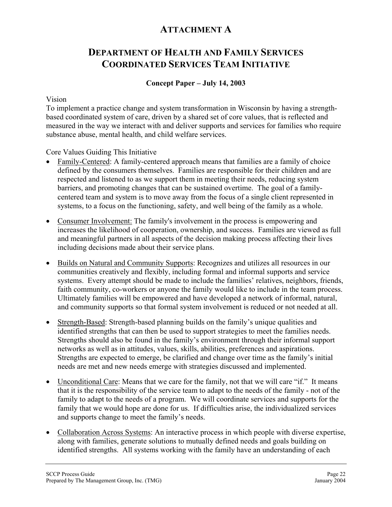### **ATTACHMENT A**

### **DEPARTMENT OF HEALTH AND FAMILY SERVICES COORDINATED SERVICES TEAM INITIATIVE**

#### **Concept Paper – July 14, 2003**

#### Vision

To implement a practice change and system transformation in Wisconsin by having a strengthbased coordinated system of care, driven by a shared set of core values, that is reflected and measured in the way we interact with and deliver supports and services for families who require substance abuse, mental health, and child welfare services.

Core Values Guiding This Initiative

- Family-Centered: A family-centered approach means that families are a family of choice defined by the consumers themselves. Families are responsible for their children and are respected and listened to as we support them in meeting their needs, reducing system barriers, and promoting changes that can be sustained overtime. The goal of a familycentered team and system is to move away from the focus of a single client represented in systems, to a focus on the functioning, safety, and well being of the family as a whole.
- Consumer Involvement: The family's involvement in the process is empowering and increases the likelihood of cooperation, ownership, and success. Families are viewed as full and meaningful partners in all aspects of the decision making process affecting their lives including decisions made about their service plans.
- Builds on Natural and Community Supports: Recognizes and utilizes all resources in our communities creatively and flexibly, including formal and informal supports and service systems. Every attempt should be made to include the families' relatives, neighbors, friends, faith community, co-workers or anyone the family would like to include in the team process. Ultimately families will be empowered and have developed a network of informal, natural, and community supports so that formal system involvement is reduced or not needed at all.
- Strength-Based: Strength-based planning builds on the family's unique qualities and identified strengths that can then be used to support strategies to meet the families needs. Strengths should also be found in the family's environment through their informal support networks as well as in attitudes, values, skills, abilities, preferences and aspirations. Strengths are expected to emerge, be clarified and change over time as the family's initial needs are met and new needs emerge with strategies discussed and implemented.
- Unconditional Care: Means that we care for the family, not that we will care "if." It means that it is the responsibility of the service team to adapt to the needs of the family - not of the family to adapt to the needs of a program. We will coordinate services and supports for the family that we would hope are done for us. If difficulties arise, the individualized services and supports change to meet the family's needs.
- Collaboration Across Systems: An interactive process in which people with diverse expertise, along with families, generate solutions to mutually defined needs and goals building on identified strengths. All systems working with the family have an understanding of each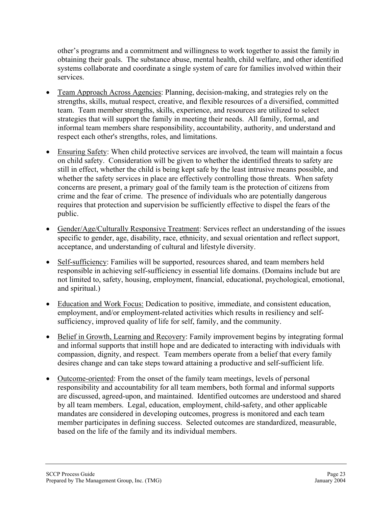other's programs and a commitment and willingness to work together to assist the family in obtaining their goals. The substance abuse, mental health, child welfare, and other identified systems collaborate and coordinate a single system of care for families involved within their services.

- Team Approach Across Agencies: Planning, decision-making, and strategies rely on the strengths, skills, mutual respect, creative, and flexible resources of a diversified, committed team. Team member strengths, skills, experience, and resources are utilized to select strategies that will support the family in meeting their needs. All family, formal, and informal team members share responsibility, accountability, authority, and understand and respect each other's strengths, roles, and limitations.
- Ensuring Safety: When child protective services are involved, the team will maintain a focus on child safety. Consideration will be given to whether the identified threats to safety are still in effect, whether the child is being kept safe by the least intrusive means possible, and whether the safety services in place are effectively controlling those threats. When safety concerns are present, a primary goal of the family team is the protection of citizens from crime and the fear of crime. The presence of individuals who are potentially dangerous requires that protection and supervision be sufficiently effective to dispel the fears of the public.
- Gender/Age/Culturally Responsive Treatment: Services reflect an understanding of the issues specific to gender, age, disability, race, ethnicity, and sexual orientation and reflect support, acceptance, and understanding of cultural and lifestyle diversity.
- Self-sufficiency: Families will be supported, resources shared, and team members held responsible in achieving self-sufficiency in essential life domains. (Domains include but are not limited to, safety, housing, employment, financial, educational, psychological, emotional, and spiritual.)
- Education and Work Focus: Dedication to positive, immediate, and consistent education, employment, and/or employment-related activities which results in resiliency and selfsufficiency, improved quality of life for self, family, and the community.
- Belief in Growth, Learning and Recovery: Family improvement begins by integrating formal and informal supports that instill hope and are dedicated to interacting with individuals with compassion, dignity, and respect. Team members operate from a belief that every family desires change and can take steps toward attaining a productive and self-sufficient life. •
- Outcome-oriented: From the onset of the family team meetings, levels of personal responsibility and accountability for all team members, both formal and informal supports are discussed, agreed-upon, and maintained. Identified outcomes are understood and shared by all team members. Legal, education, employment, child-safety, and other applicable mandates are considered in developing outcomes, progress is monitored and each team member participates in defining success. Selected outcomes are standardized, measurable, based on the life of the family and its individual members.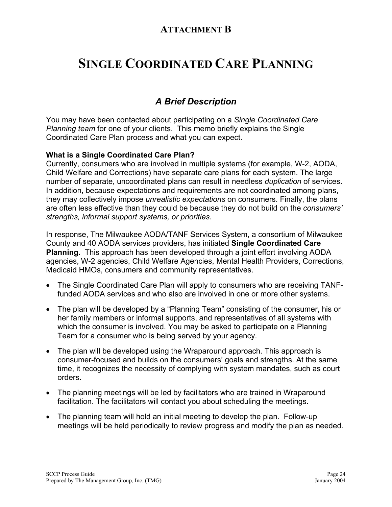### **ATTACHMENT B**

# **SINGLE COORDINATED CARE PLANNING**

### *A Brief Description*

You may have been contacted about participating on a *Single Coordinated Care Planning team* for one of your clients. This memo briefly explains the Single Coordinated Care Plan process and what you can expect.

#### **What is a Single Coordinated Care Plan?**

Currently, consumers who are involved in multiple systems (for example, W-2, AODA, Child Welfare and Corrections) have separate care plans for each system. The large number of separate, uncoordinated plans can result in needless *duplication* of services. In addition, because expectations and requirements are not coordinated among plans, they may collectively impose *unrealistic expectations* on consumers. Finally, the plans are often less effective than they could be because they do not build on the *consumers' strengths, informal support systems, or priorities.* 

In response, The Milwaukee AODA/TANF Services System, a consortium of Milwaukee County and 40 AODA services providers, has initiated **Single Coordinated Care Planning.** This approach has been developed through a joint effort involving AODA agencies, W-2 agencies, Child Welfare Agencies, Mental Health Providers, Corrections, Medicaid HMOs, consumers and community representatives.

- The Single Coordinated Care Plan will apply to consumers who are receiving TANFfunded AODA services and who also are involved in one or more other systems.
- The plan will be developed by a "Planning Team" consisting of the consumer, his or her family members or informal supports, and representatives of all systems with which the consumer is involved. You may be asked to participate on a Planning Team for a consumer who is being served by your agency.
- The plan will be developed using the Wraparound approach. This approach is consumer-focused and builds on the consumers' goals and strengths. At the same time, it recognizes the necessity of complying with system mandates, such as court orders.
- The planning meetings will be led by facilitators who are trained in Wraparound facilitation. The facilitators will contact you about scheduling the meetings.
- The planning team will hold an initial meeting to develop the plan. Follow-up meetings will be held periodically to review progress and modify the plan as needed.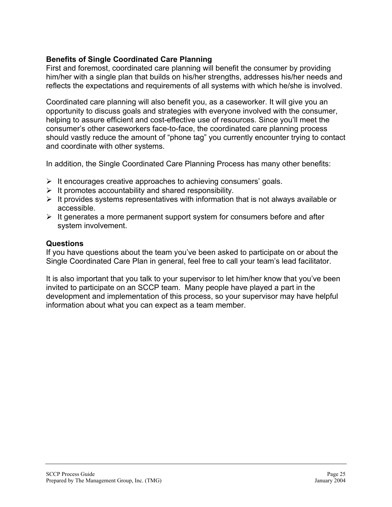#### **Benefits of Single Coordinated Care Planning**

First and foremost, coordinated care planning will benefit the consumer by providing him/her with a single plan that builds on his/her strengths, addresses his/her needs and reflects the expectations and requirements of all systems with which he/she is involved.

Coordinated care planning will also benefit you, as a caseworker. It will give you an opportunity to discuss goals and strategies with everyone involved with the consumer, helping to assure efficient and cost-effective use of resources. Since you'll meet the consumer's other caseworkers face-to-face, the coordinated care planning process should vastly reduce the amount of "phone tag" you currently encounter trying to contact and coordinate with other systems.

In addition, the Single Coordinated Care Planning Process has many other benefits:

- $\triangleright$  It encourages creative approaches to achieving consumers' goals.
- $\triangleright$  It promotes accountability and shared responsibility.
- $\triangleright$  It provides systems representatives with information that is not always available or accessible.
- $\triangleright$  It generates a more permanent support system for consumers before and after system involvement.

#### **Questions**

If you have questions about the team you've been asked to participate on or about the Single Coordinated Care Plan in general, feel free to call your team's lead facilitator.

It is also important that you talk to your supervisor to let him/her know that you've been invited to participate on an SCCP team. Many people have played a part in the development and implementation of this process, so your supervisor may have helpful information about what you can expect as a team member.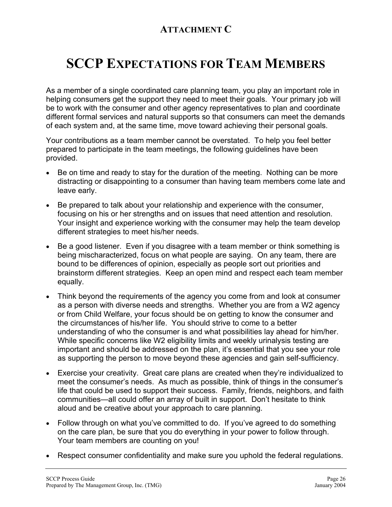## **ATTACHMENT C**

# **SCCP EXPECTATIONS FOR TEAM MEMBERS**

As a member of a single coordinated care planning team, you play an important role in helping consumers get the support they need to meet their goals. Your primary job will be to work with the consumer and other agency representatives to plan and coordinate different formal services and natural supports so that consumers can meet the demands of each system and, at the same time, move toward achieving their personal goals.

Your contributions as a team member cannot be overstated. To help you feel better prepared to participate in the team meetings, the following guidelines have been provided.

- Be on time and ready to stay for the duration of the meeting. Nothing can be more distracting or disappointing to a consumer than having team members come late and leave early.
- Be prepared to talk about your relationship and experience with the consumer, focusing on his or her strengths and on issues that need attention and resolution. Your insight and experience working with the consumer may help the team develop different strategies to meet his/her needs.
- Be a good listener. Even if you disagree with a team member or think something is being mischaracterized, focus on what people are saying. On any team, there are bound to be differences of opinion, especially as people sort out priorities and brainstorm different strategies. Keep an open mind and respect each team member equally.
- Think beyond the requirements of the agency you come from and look at consumer as a person with diverse needs and strengths. Whether you are from a W2 agency or from Child Welfare, your focus should be on getting to know the consumer and the circumstances of his/her life. You should strive to come to a better understanding of who the consumer is and what possibilities lay ahead for him/her. While specific concerns like W2 eligibility limits and weekly urinalysis testing are important and should be addressed on the plan, it's essential that you see your role as supporting the person to move beyond these agencies and gain self-sufficiency.
- Exercise your creativity. Great care plans are created when they're individualized to meet the consumer's needs. As much as possible, think of things in the consumer's life that could be used to support their success. Family, friends, neighbors, and faith communities—all could offer an array of built in support. Don't hesitate to think aloud and be creative about your approach to care planning.
- Follow through on what you've committed to do. If you've agreed to do something on the care plan, be sure that you do everything in your power to follow through. Your team members are counting on you!
- Respect consumer confidentiality and make sure you uphold the federal regulations.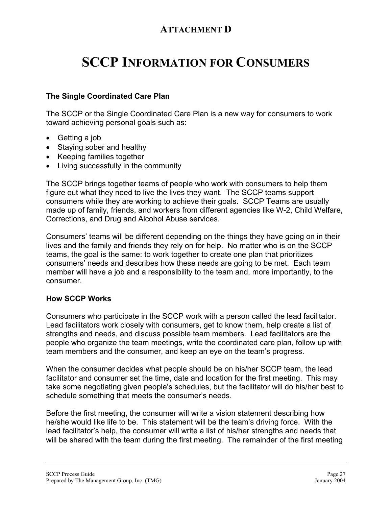### **ATTACHMENT D**

# **SCCP INFORMATION FOR CONSUMERS**

#### **The Single Coordinated Care Plan**

The SCCP or the Single Coordinated Care Plan is a new way for consumers to work toward achieving personal goals such as:

- Getting a job
- Staying sober and healthy
- Keeping families together
- Living successfully in the community

The SCCP brings together teams of people who work with consumers to help them figure out what they need to live the lives they want. The SCCP teams support consumers while they are working to achieve their goals. SCCP Teams are usually made up of family, friends, and workers from different agencies like W-2, Child Welfare, Corrections, and Drug and Alcohol Abuse services.

Consumers' teams will be different depending on the things they have going on in their lives and the family and friends they rely on for help. No matter who is on the SCCP teams, the goal is the same: to work together to create one plan that prioritizes consumers' needs and describes how these needs are going to be met. Each team member will have a job and a responsibility to the team and, more importantly, to the consumer.

#### **How SCCP Works**

Consumers who participate in the SCCP work with a person called the lead facilitator. Lead facilitators work closely with consumers, get to know them, help create a list of strengths and needs, and discuss possible team members. Lead facilitators are the people who organize the team meetings, write the coordinated care plan, follow up with team members and the consumer, and keep an eye on the team's progress.

When the consumer decides what people should be on his/her SCCP team, the lead facilitator and consumer set the time, date and location for the first meeting. This may take some negotiating given people's schedules, but the facilitator will do his/her best to schedule something that meets the consumer's needs.

Before the first meeting, the consumer will write a vision statement describing how he/she would like life to be. This statement will be the team's driving force. With the lead facilitator's help, the consumer will write a list of his/her strengths and needs that will be shared with the team during the first meeting. The remainder of the first meeting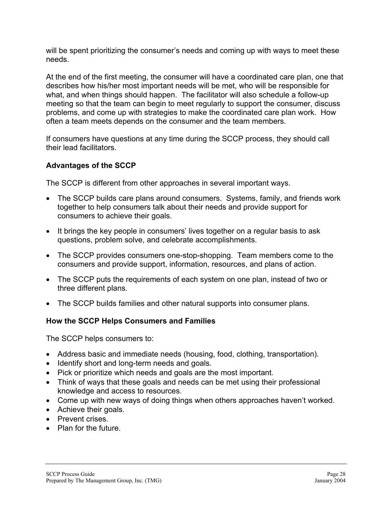will be spent prioritizing the consumer's needs and coming up with ways to meet these needs.

At the end of the first meeting, the consumer will have a coordinated care plan, one that describes how his/her most important needs will be met, who will be responsible for what, and when things should happen. The facilitator will also schedule a follow-up meeting so that the team can begin to meet regularly to support the consumer, discuss problems, and come up with strategies to make the coordinated care plan work. How often a team meets depends on the consumer and the team members.

If consumers have questions at any time during the SCCP process, they should call their lead facilitators.

#### **Advantages of the SCCP**

The SCCP is different from other approaches in several important ways.

- The SCCP builds care plans around consumers. Systems, family, and friends work together to help consumers talk about their needs and provide support for consumers to achieve their goals.
- It brings the key people in consumers' lives together on a regular basis to ask questions, problem solve, and celebrate accomplishments.
- The SCCP provides consumers one-stop-shopping. Team members come to the consumers and provide support, information, resources, and plans of action.
- The SCCP puts the requirements of each system on one plan, instead of two or three different plans.
- The SCCP builds families and other natural supports into consumer plans.

#### **How the SCCP Helps Consumers and Families**

The SCCP helps consumers to:

- Address basic and immediate needs (housing, food, clothing, transportation).
- Identify short and long-term needs and goals.
- Pick or prioritize which needs and goals are the most important.
- Think of ways that these goals and needs can be met using their professional knowledge and access to resources.
- Come up with new ways of doing things when others approaches haven't worked.
- Achieve their goals.
- Prevent crises.
- Plan for the future.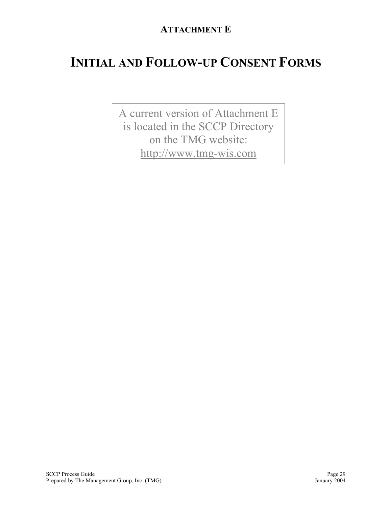## **ATTACHMENT E**

# **INITIAL AND FOLLOW-UP CONSENT FORMS**

A current version of Attachment E is located in the SCCP Directory on the TMG website: [http://www.tmg-wis.com](http://www.tmg-wis.com/)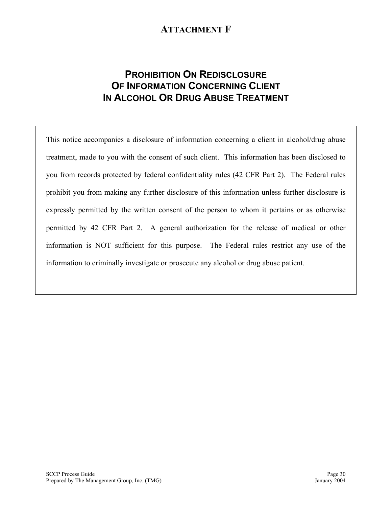### **ATTACHMENT F**

### **PROHIBITION ON REDISCLOSURE OF INFORMATION CONCERNING CLIENT IN ALCOHOL OR DRUG ABUSE TREATMENT**

This notice accompanies a disclosure of information concerning a client in alcohol/drug abuse treatment, made to you with the consent of such client. This information has been disclosed to you from records protected by federal confidentiality rules (42 CFR Part 2). The Federal rules prohibit you from making any further disclosure of this information unless further disclosure is expressly permitted by the written consent of the person to whom it pertains or as otherwise permitted by 42 CFR Part 2. A general authorization for the release of medical or other information is NOT sufficient for this purpose. The Federal rules restrict any use of the information to criminally investigate or prosecute any alcohol or drug abuse patient.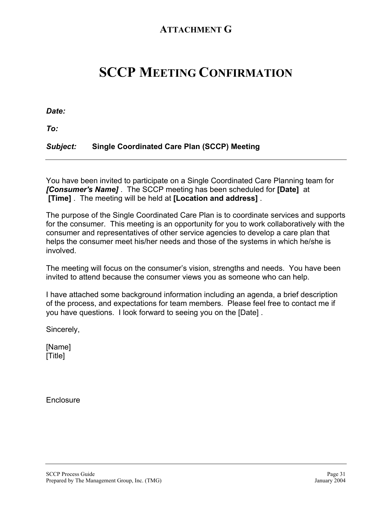### **ATTACHMENT G**

# **SCCP MEETING CONFIRMATION**

*Date:*

*To:*

#### *Subject:* **Single Coordinated Care Plan (SCCP) Meeting**

You have been invited to participate on a Single Coordinated Care Planning team for *[Consumer's Name]* . The SCCP meeting has been scheduled for **[Date]** at **[Time]** . The meeting will be held at **[Location and address]** .

The purpose of the Single Coordinated Care Plan is to coordinate services and supports for the consumer. This meeting is an opportunity for you to work collaboratively with the consumer and representatives of other service agencies to develop a care plan that helps the consumer meet his/her needs and those of the systems in which he/she is involved.

The meeting will focus on the consumer's vision, strengths and needs. You have been invited to attend because the consumer views you as someone who can help.

I have attached some background information including an agenda, a brief description of the process, and expectations for team members. Please feel free to contact me if you have questions. I look forward to seeing you on the [Date] .

Sincerely,

[Name] [Title]

**Enclosure**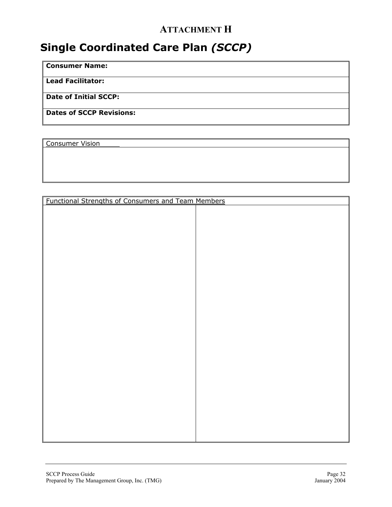## **ATTACHMENT H**

## **Single Coordinated Care Plan** *(SCCP)*

**Consumer Name:** 

**Lead Facilitator:** 

**Date of Initial SCCP:** 

**Dates of SCCP Revisions:** 

Consumer Vision

| <b>Functional Strengths of Consumers and Team Members</b> |  |
|-----------------------------------------------------------|--|
|                                                           |  |
|                                                           |  |
|                                                           |  |
|                                                           |  |
|                                                           |  |
|                                                           |  |
|                                                           |  |
|                                                           |  |
|                                                           |  |
|                                                           |  |
|                                                           |  |
|                                                           |  |
|                                                           |  |
|                                                           |  |
|                                                           |  |
|                                                           |  |
|                                                           |  |
|                                                           |  |
|                                                           |  |
|                                                           |  |
|                                                           |  |
|                                                           |  |
|                                                           |  |
|                                                           |  |
|                                                           |  |
|                                                           |  |
|                                                           |  |
|                                                           |  |
|                                                           |  |
|                                                           |  |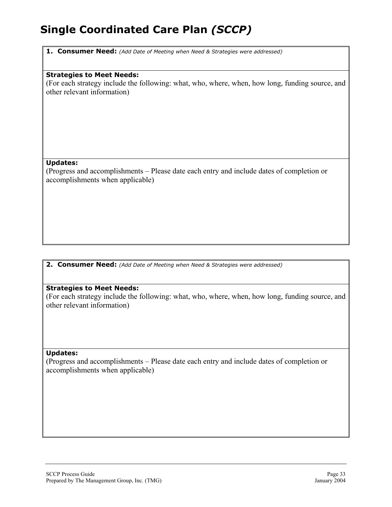**1. Consumer Need:** *(Add Date of Meeting when Need & Strategies were addressed)*

#### **Strategies to Meet Needs:**

(For each strategy include the following: what, who, where, when, how long, funding source, and other relevant information)

#### **Updates:**

(Progress and accomplishments – Please date each entry and include dates of completion or accomplishments when applicable)

**2. Consumer Need:** *(Add Date of Meeting when Need & Strategies were addressed)*

#### **Strategies to Meet Needs:**

(For each strategy include the following: what, who, where, when, how long, funding source, and other relevant information)

#### **Updates:**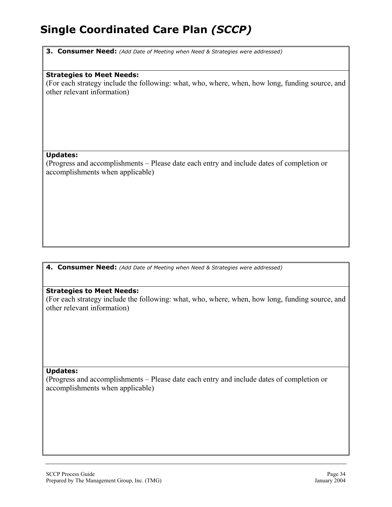**3. Consumer Need:** *(Add Date of Meeting when Need & Strategies were addressed)*

#### **Strategies to Meet Needs:**

(For each strategy include the following: what, who, where, when, how long, funding source, and other relevant information)

#### **Updates:**

(Progress and accomplishments – Please date each entry and include dates of completion or accomplishments when applicable)

**4. Consumer Need:** *(Add Date of Meeting when Need & Strategies were addressed)*

#### **Strategies to Meet Needs:**

(For each strategy include the following: what, who, where, when, how long, funding source, and other relevant information)

#### **Updates:**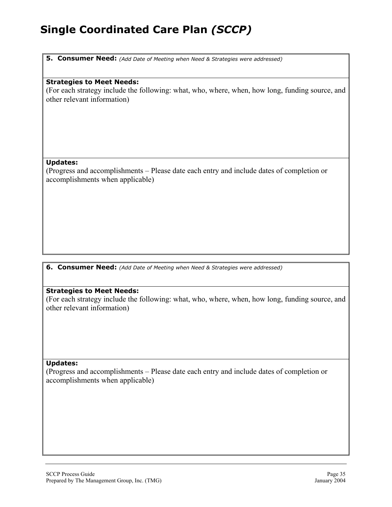**5. Consumer Need:** *(Add Date of Meeting when Need & Strategies were addressed)*

#### **Strategies to Meet Needs:**

(For each strategy include the following: what, who, where, when, how long, funding source, and other relevant information)

#### **Updates:**

(Progress and accomplishments – Please date each entry and include dates of completion or accomplishments when applicable)

**6. Consumer Need:** *(Add Date of Meeting when Need & Strategies were addressed)*

#### **Strategies to Meet Needs:**

(For each strategy include the following: what, who, where, when, how long, funding source, and other relevant information)

#### **Updates:**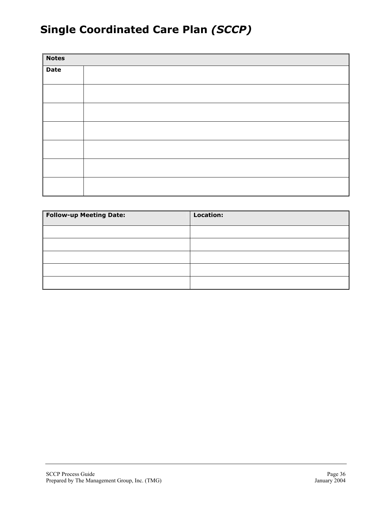| Notes |  |  |
|-------|--|--|
| Date  |  |  |
|       |  |  |
|       |  |  |
|       |  |  |
|       |  |  |
|       |  |  |
|       |  |  |
|       |  |  |
|       |  |  |
|       |  |  |
|       |  |  |
|       |  |  |

| <b>Follow-up Meeting Date:</b> | <b>Location:</b> |
|--------------------------------|------------------|
|                                |                  |
|                                |                  |
|                                |                  |
|                                |                  |
|                                |                  |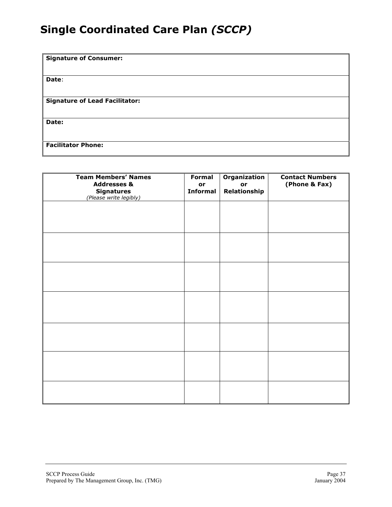| <b>Signature of Consumer:</b>         |
|---------------------------------------|
|                                       |
| Date:                                 |
|                                       |
| <b>Signature of Lead Facilitator:</b> |
|                                       |
| Date:                                 |
|                                       |
| <b>Facilitator Phone:</b>             |

| <b>Team Members' Names</b><br><b>Addresses &amp;</b><br><b>Signatures</b><br>(Please write legibly) | <b>Formal</b><br>or<br><b>Informal</b> | Organization<br>or<br>Relationship | <b>Contact Numbers</b><br>(Phone & Fax) |
|-----------------------------------------------------------------------------------------------------|----------------------------------------|------------------------------------|-----------------------------------------|
|                                                                                                     |                                        |                                    |                                         |
|                                                                                                     |                                        |                                    |                                         |
|                                                                                                     |                                        |                                    |                                         |
|                                                                                                     |                                        |                                    |                                         |
|                                                                                                     |                                        |                                    |                                         |
|                                                                                                     |                                        |                                    |                                         |
|                                                                                                     |                                        |                                    |                                         |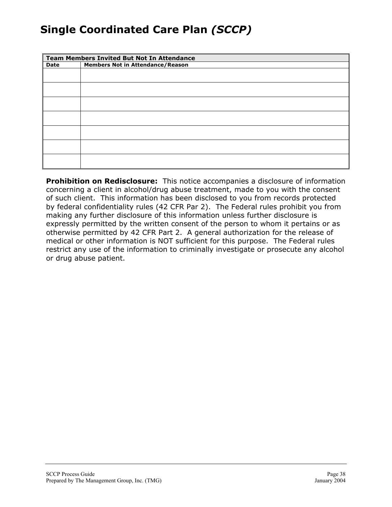|      | <b>Team Members Invited But Not In Attendance</b> |  |
|------|---------------------------------------------------|--|
| Date | <b>Members Not in Attendance/Reason</b>           |  |
|      |                                                   |  |
|      |                                                   |  |
|      |                                                   |  |
|      |                                                   |  |
|      |                                                   |  |
|      |                                                   |  |
|      |                                                   |  |

**Prohibition on Redisclosure:** This notice accompanies a disclosure of information concerning a client in alcohol/drug abuse treatment, made to you with the consent of such client. This information has been disclosed to you from records protected by federal confidentiality rules (42 CFR Par 2). The Federal rules prohibit you from making any further disclosure of this information unless further disclosure is expressly permitted by the written consent of the person to whom it pertains or as otherwise permitted by 42 CFR Part 2. A general authorization for the release of medical or other information is NOT sufficient for this purpose. The Federal rules restrict any use of the information to criminally investigate or prosecute any alcohol or drug abuse patient.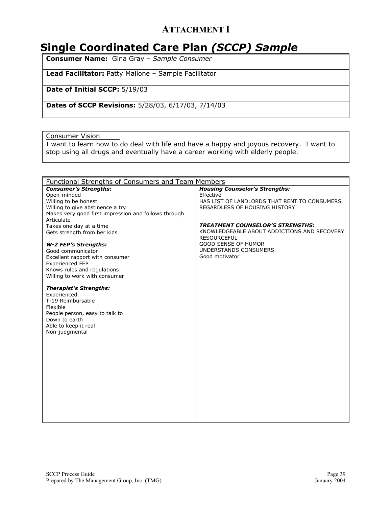### **ATTACHMENT I**

## **Single Coordinated Care Plan** *(SCCP) Sample*

**Consumer Name:** Gina Gray – *Sample Consumer*

**Lead Facilitator:** Patty Mallone – Sample Facilitator

**Date of Initial SCCP:** 5/19/03

**Dates of SCCP Revisions:** 5/28/03, 6/17/03, 7/14/03

Consumer Vision

I want to learn how to do deal with life and have a happy and joyous recovery. I want to stop using all drugs and eventually have a career working with elderly people.

| <b>Functional Strengths of Consumers and Team Members</b>                                                                                                                     |                                                                                                                                     |
|-------------------------------------------------------------------------------------------------------------------------------------------------------------------------------|-------------------------------------------------------------------------------------------------------------------------------------|
| <b>Consumer's Strengths:</b><br>Open-minded<br>Willing to be honest<br>Willing to give abstinence a try<br>Makes very good first impression and follows through<br>Articulate | <b>Housing Counselor's Strengths:</b><br>Effective<br>HAS LIST OF LANDLORDS THAT RENT TO CONSUMERS<br>REGARDLESS OF HOUSING HISTORY |
| Takes one day at a time<br>Gets strength from her kids                                                                                                                        | <b>TREATMENT COUNSELOR'S STRENGTHS:</b><br>KNOWLEDGEABLE ABOUT ADDICTIONS AND RECOVERY<br><b>RESOURCEFUL</b>                        |
| <b>W-2 FEP's Strengths:</b><br>Good communicator<br>Excellent rapport with consumer<br><b>Experienced FEP</b><br>Knows rules and regulations<br>Willing to work with consumer | <b>GOOD SENSE OF HUMOR</b><br>UNDERSTANDS CONSUMERS<br>Good motivator                                                               |
| <b>Therapist's Strengths:</b><br>Experienced<br>T-19 Reimbursable<br>Flexible<br>People person, easy to talk to<br>Down to earth<br>Able to keep it real<br>Non-judgmental    |                                                                                                                                     |
|                                                                                                                                                                               |                                                                                                                                     |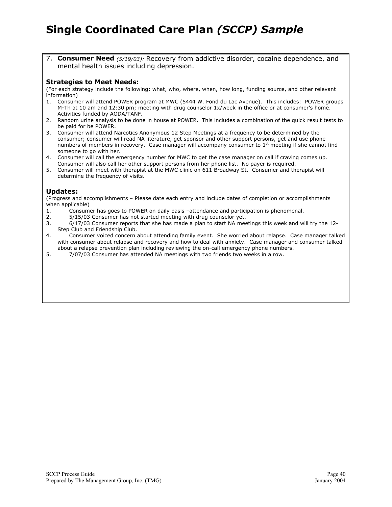7. **Consumer Need** *(5/19/03):* Recovery from addictive disorder, cocaine dependence, and mental health issues including depression.

#### **Strategies to Meet Needs:**

(For each strategy include the following: what, who, where, when, how long, funding source, and other relevant information)

- 1. Consumer will attend POWER program at MWC (5444 W. Fond du Lac Avenue). This includes: POWER groups M-Th at 10 am and 12:30 pm; meeting with drug counselor 1x/week in the office or at consumer's home. Activities funded by AODA/TANF.
- 2. Random urine analysis to be done in house at POWER. This includes a combination of the quick result tests to be paid for be POWER.
- 3. Consumer will attend Narcotics Anonymous 12 Step Meetings at a frequency to be determined by the consumer; consumer will read NA literature, get sponsor and other support persons, get and use phone numbers of members in recovery. Case manager will accompany consumer to  $1<sup>st</sup>$  meeting if she cannot find someone to go with her.
- 4. Consumer will call the emergency number for MWC to get the case manager on call if craving comes up. Consumer will also call her other support persons from her phone list. No payer is required.
- 5. Consumer will meet with therapist at the MWC clinic on 611 Broadway St. Consumer and therapist will determine the frequency of visits.

#### **Updates:**

(Progress and accomplishments – Please date each entry and include dates of completion or accomplishments when applicable)

- 1. Consumer has goes to POWER on daily basis –attendance and participation is phenomenal.
- 2. 5/15/03 Consumer has not started meeting with drug counselor yet.

3. 6/17/03 Consumer reports that she has made a plan to start NA meetings this week and will try the 12- Step Club and Friendship Club.

- 4. Consumer voiced concern about attending family event. She worried about relapse. Case manager talked with consumer about relapse and recovery and how to deal with anxiety. Case manager and consumer talked about a relapse prevention plan including reviewing the on-call emergency phone numbers.
- 5. 7/07/03 Consumer has attended NA meetings with two friends two weeks in a row.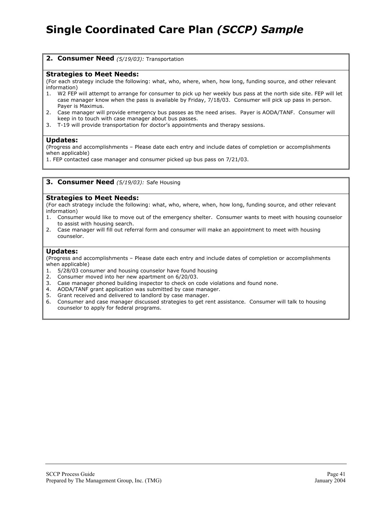**2. Consumer Need** *(5/19/03):* Transportation

#### **Strategies to Meet Needs:**

(For each strategy include the following: what, who, where, when, how long, funding source, and other relevant information)

- 1. W2 FEP will attempt to arrange for consumer to pick up her weekly bus pass at the north side site. FEP will let case manager know when the pass is available by Friday, 7/18/03. Consumer will pick up pass in person. Payer is Maximus.
- 2. Case manager will provide emergency bus passes as the need arises. Payer is AODA/TANF. Consumer will keep in to touch with case manager about bus passes.
- 3. T-19 will provide transportation for doctor's appointments and therapy sessions.

#### **Updates:**

(Progress and accomplishments – Please date each entry and include dates of completion or accomplishments when applicable)

1. FEP contacted case manager and consumer picked up bus pass on 7/21/03.

#### **3. Consumer Need** *(5/19/03):* Safe Housing

#### **Strategies to Meet Needs:**

(For each strategy include the following: what, who, where, when, how long, funding source, and other relevant information)

- 1. Consumer would like to move out of the emergency shelter. Consumer wants to meet with housing counselor to assist with housing search.
- 2. Case manager will fill out referral form and consumer will make an appointment to meet with housing counselor.

#### **Updates:**

- 1. 5/28/03 consumer and housing counselor have found housing
- 2. Consumer moved into her new apartment on 6/20/03.
- 3. Case manager phoned building inspector to check on code violations and found none.
- 4. AODA/TANF grant application was submitted by case manager.
- 5. Grant received and delivered to landlord by case manager.
- 6. Consumer and case manager discussed strategies to get rent assistance. Consumer will talk to housing counselor to apply for federal programs.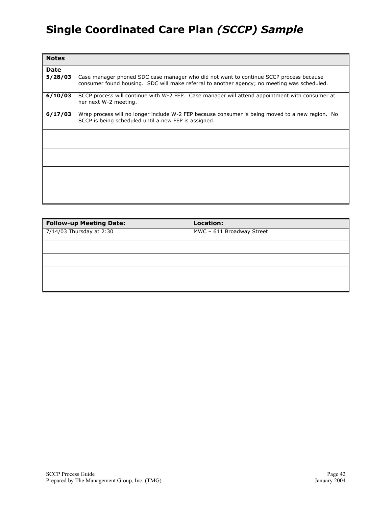| <b>Notes</b> |                                                                                                                                                                                       |
|--------------|---------------------------------------------------------------------------------------------------------------------------------------------------------------------------------------|
| Date         |                                                                                                                                                                                       |
| 5/28/03      | Case manager phoned SDC case manager who did not want to continue SCCP process because<br>consumer found housing. SDC will make referral to another agency; no meeting was scheduled. |
| 6/10/03      | SCCP process will continue with W-2 FEP. Case manager will attend appointment with consumer at<br>her next W-2 meeting.                                                               |
| 6/17/03      | Wrap process will no longer include W-2 FEP because consumer is being moved to a new region. No<br>SCCP is being scheduled until a new FEP is assigned.                               |
|              |                                                                                                                                                                                       |
|              |                                                                                                                                                                                       |
|              |                                                                                                                                                                                       |
|              |                                                                                                                                                                                       |

| <b>Follow-up Meeting Date:</b> | Location:                 |
|--------------------------------|---------------------------|
| $7/14/03$ Thursday at 2:30     | MWC - 611 Broadway Street |
|                                |                           |
|                                |                           |
|                                |                           |
|                                |                           |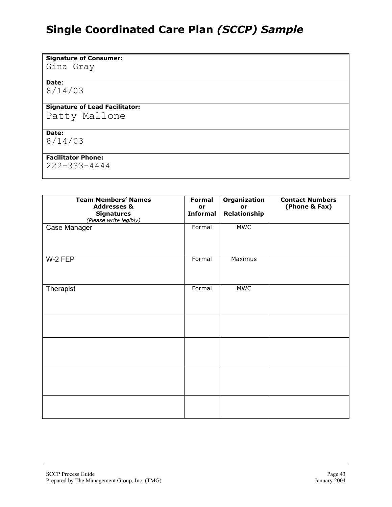**Signature of Consumer:**

Gina Gray

**Date**: 8/14/03

#### **Signature of Lead Facilitator:**

Patty Mallone

#### **Date:**

8/14/03

#### **Facilitator Phone:**

222-333-4444

| <b>Team Members' Names</b>             | <b>Formal</b>   | Organization | <b>Contact Numbers</b> |
|----------------------------------------|-----------------|--------------|------------------------|
| <b>Addresses &amp;</b>                 | or              | or           | (Phone & Fax)          |
| <b>Signatures</b>                      | <b>Informal</b> | Relationship |                        |
| (Please write legibly)<br>Case Manager | Formal          | <b>MWC</b>   |                        |
|                                        |                 |              |                        |
|                                        |                 |              |                        |
|                                        |                 |              |                        |
| W-2 FEP                                | Formal          | Maximus      |                        |
|                                        |                 |              |                        |
|                                        |                 |              |                        |
|                                        |                 |              |                        |
| Therapist                              | Formal          | <b>MWC</b>   |                        |
|                                        |                 |              |                        |
|                                        |                 |              |                        |
|                                        |                 |              |                        |
|                                        |                 |              |                        |
|                                        |                 |              |                        |
|                                        |                 |              |                        |
|                                        |                 |              |                        |
|                                        |                 |              |                        |
|                                        |                 |              |                        |
|                                        |                 |              |                        |
|                                        |                 |              |                        |
|                                        |                 |              |                        |
|                                        |                 |              |                        |
|                                        |                 |              |                        |
|                                        |                 |              |                        |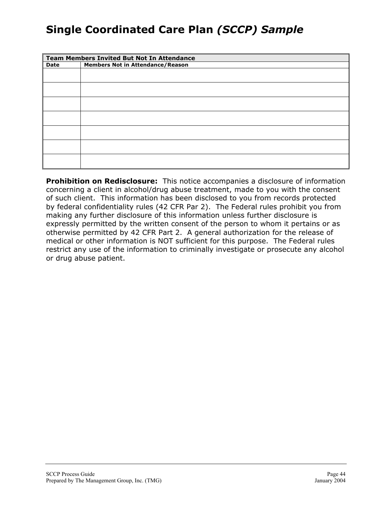| <b>Team Members Invited But Not In Attendance</b> |                                         |  |
|---------------------------------------------------|-----------------------------------------|--|
| Date                                              | <b>Members Not in Attendance/Reason</b> |  |
|                                                   |                                         |  |
|                                                   |                                         |  |
|                                                   |                                         |  |
|                                                   |                                         |  |
|                                                   |                                         |  |
|                                                   |                                         |  |
|                                                   |                                         |  |
|                                                   |                                         |  |
|                                                   |                                         |  |

**Prohibition on Redisclosure:** This notice accompanies a disclosure of information concerning a client in alcohol/drug abuse treatment, made to you with the consent of such client. This information has been disclosed to you from records protected by federal confidentiality rules (42 CFR Par 2). The Federal rules prohibit you from making any further disclosure of this information unless further disclosure is expressly permitted by the written consent of the person to whom it pertains or as otherwise permitted by 42 CFR Part 2. A general authorization for the release of medical or other information is NOT sufficient for this purpose. The Federal rules restrict any use of the information to criminally investigate or prosecute any alcohol or drug abuse patient.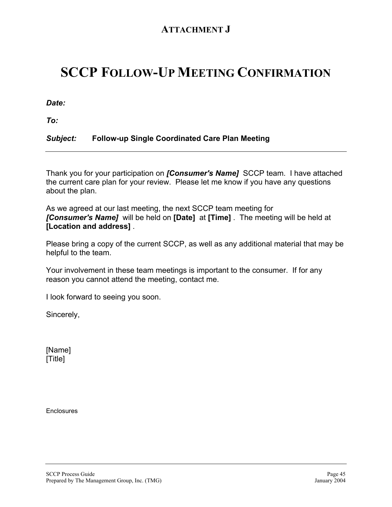### **ATTACHMENT J**

# **SCCP FOLLOW-UP MEETING CONFIRMATION**

*Date:*

*To:*

#### *Subject:* **Follow-up Single Coordinated Care Plan Meeting**

Thank you for your participation on *[Consumer's Name]* SCCP team.I have attached the current care plan for your review. Please let me know if you have any questions about the plan.

As we agreed at our last meeting, the next SCCP team meeting for *[Consumer's Name]* will be held on **[Date]** at **[Time]** . The meeting will be held at **[Location and address]** .

Please bring a copy of the current SCCP, as well as any additional material that may be helpful to the team.

Your involvement in these team meetings is important to the consumer. If for any reason you cannot attend the meeting, contact me.

I look forward to seeing you soon.

Sincerely,

[Name] [Title]

**Enclosures**